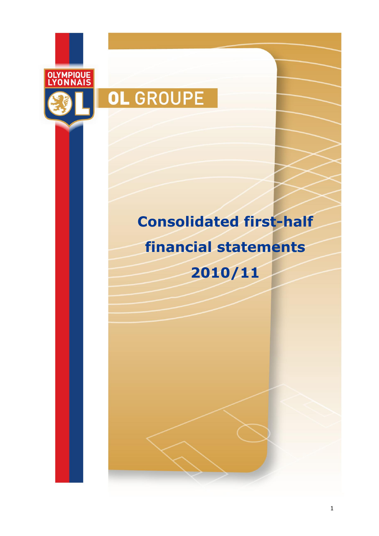

# OL GROUPE

## **Consolidated first-half financial statements**

**2010/11**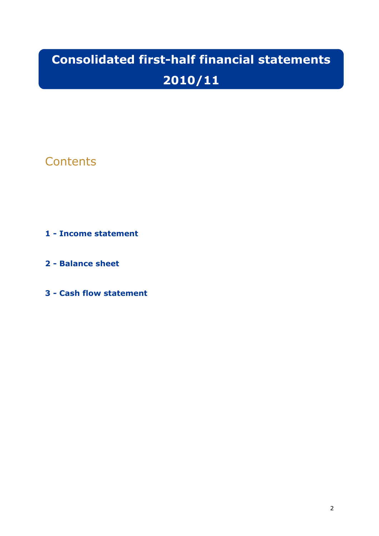### **Consolidated first-half financial statements 2010/11**

### **Contents**

#### **1 - Income statement**

**2 - Balance sheet**

**3 - Cash flow statement**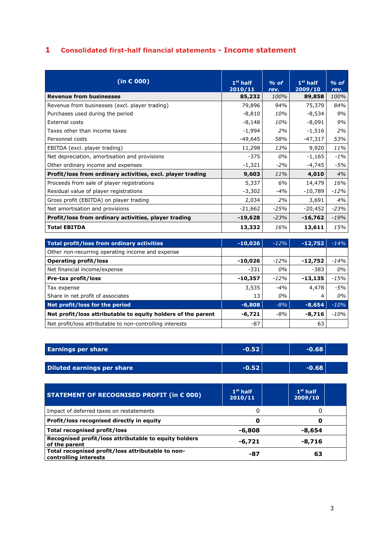#### **1 Consolidated first-half financial statements - Income statement**

| (in $\epsilon$ 000)                                        | $1st$ half<br>2010/11 | $%$ of<br>rev. | $1st$ half<br>2009/10 | $%$ of<br>rev. |
|------------------------------------------------------------|-----------------------|----------------|-----------------------|----------------|
| <b>Revenue from businesses</b>                             | 85,232                | 100%           | 89,858                | 100%           |
| Revenue from businesses (excl. player trading)             | 79,896                | 94%            | 75,379                | 84%            |
| Purchases used during the period                           | $-8,810$              | 10%            | $-8,534$              | 9%             |
| External costs                                             | $-8,148$              | 10%            | $-8,091$              | 9%             |
| Taxes other than income taxes                              | $-1,994$              | 2%             | $-1,516$              | 2%             |
| Personnel costs                                            | $-49,645$             | 58%            | $-47,317$             | 53%            |
| EBITDA (excl. player trading)                              | 11,298                | 13%            | 9,920                 | 11%            |
| Net depreciation, amortisation and provisions              | $-375$                | 0%             | $-1,165$              | $-1\%$         |
| Other ordinary income and expenses                         | $-1,321$              | $-2%$          | -4,745                | -5%            |
| Profit/loss from ordinary activities, excl. player trading | 9,603                 | 11%            | 4,010                 | 4%             |
| Proceeds from sale of player registrations                 | 5,337                 | 6%             | 14,479                | 16%            |
| Residual value of player registrations                     | $-3,302$              | $-4%$          | $-10,789$             | $-12%$         |
| Gross profit (EBITDA) on player trading                    | 2,034                 | 2%             | 3,691                 | 4%             |
| Net amortisation and provisions                            | $-21,662$             | $-25%$         | $-20,452$             | $-23%$         |
| Profit/loss from ordinary activities, player trading       | $-19,628$             | $-23%$         | $-16,762$             | $-19%$         |
| <b>Total EBITDA</b>                                        | 13,332                | 16%            | 13,611                | 15%            |

| <b>Total profit/loss from ordinary activities</b>            | $-10,026$ | $-12%$ | $-12,752$ | $-14%$ |
|--------------------------------------------------------------|-----------|--------|-----------|--------|
| Other non-recurring operating income and expense             |           |        |           |        |
| <b>Operating profit/loss</b>                                 | $-10,026$ | $-12%$ | $-12,752$ | $-14%$ |
| Net financial income/expense                                 | $-331$    | 0%     | $-383$    | $0\%$  |
| Pre-tax profit/loss                                          | $-10,357$ | $-12%$ | $-13,135$ | $-15%$ |
| Tax expense                                                  | 3,535     | $-4%$  | 4,478     | -5%    |
| Share in net profit of associates                            | 13        | 0%     | 4         | 0%     |
| Net profit/loss for the period                               | $-6,808$  | $-8%$  | $-8,654$  | $-10%$ |
| Net profit/loss attributable to equity holders of the parent | $-6,721$  | $-8%$  | -8,716    | $-10%$ |
| Net profit/loss attributable to non-controlling interests    | $-87$     |        | 63        |        |

| <b>Earnings per share</b>                                                  | $-0.52$               | $-0.68$               |
|----------------------------------------------------------------------------|-----------------------|-----------------------|
|                                                                            |                       |                       |
| <b>Diluted earnings per share</b>                                          | $-0.52$               | $-0.68$               |
|                                                                            |                       |                       |
| STATEMENT OF RECOGNISED PROFIT (in € 000)                                  | $1st$ half<br>2010/11 | $1st$ half<br>2009/10 |
| Impact of deferred taxes on restatements                                   | 0                     | 0                     |
| Profit/loss recognised directly in equity                                  | 0                     | 0                     |
| Total recognised profit/loss                                               | $-6,808$              | -8,654                |
| Recognised profit/loss attributable to equity holders<br>of the parent     | -6,721                | $-8,716$              |
| Total recognised profit/loss attributable to non-<br>controlling interests | -87                   | 63                    |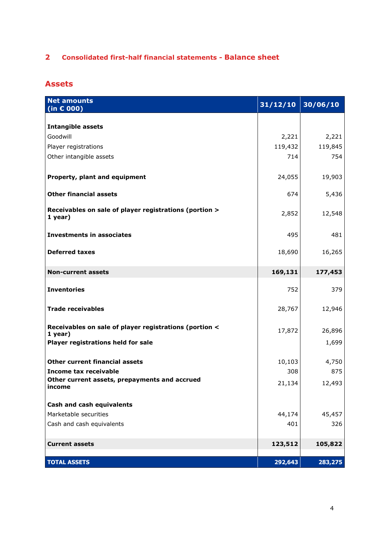#### **2 Consolidated first-half financial statements - Balance sheet**

#### **Assets**

| <b>Net amounts</b><br>(in $\epsilon$ 000)                           | 31/12/10 | 30/06/10 |
|---------------------------------------------------------------------|----------|----------|
|                                                                     |          |          |
| <b>Intangible assets</b>                                            |          |          |
| Goodwill                                                            | 2,221    | 2,221    |
| Player registrations                                                | 119,432  | 119,845  |
| Other intangible assets                                             | 714      | 754      |
| Property, plant and equipment                                       | 24,055   | 19,903   |
| <b>Other financial assets</b>                                       | 674      | 5,436    |
| Receivables on sale of player registrations (portion ><br>1 year)   | 2,852    | 12,548   |
| <b>Investments in associates</b>                                    | 495      | 481      |
| <b>Deferred taxes</b>                                               | 18,690   | 16,265   |
| <b>Non-current assets</b>                                           | 169,131  | 177,453  |
| <b>Inventories</b>                                                  | 752      | 379      |
| <b>Trade receivables</b>                                            | 28,767   | 12,946   |
| Receivables on sale of player registrations (portion <<br>$1$ year) | 17,872   | 26,896   |
| Player registrations held for sale                                  |          | 1,699    |
| <b>Other current financial assets</b>                               | 10,103   | 4,750    |
| <b>Income tax receivable</b>                                        | 308      | 875      |
| Other current assets, prepayments and accrued<br>income             | 21,134   | 12,493   |
| <b>Cash and cash equivalents</b>                                    |          |          |
| Marketable securities                                               | 44,174   | 45,457   |
| Cash and cash equivalents                                           | 401      | 326      |
| <b>Current assets</b>                                               | 123,512  | 105,822  |
|                                                                     |          |          |
| <b>TOTAL ASSETS</b>                                                 | 292,643  | 283,275  |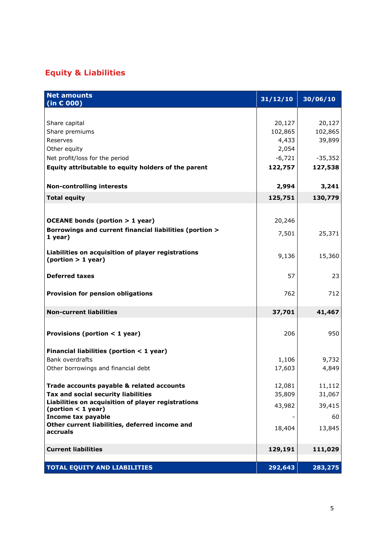#### **Equity & Liabilities**

| <b>Net amounts</b><br>(in $\epsilon$ 000)                                | 31/12/10 | 30/06/10  |
|--------------------------------------------------------------------------|----------|-----------|
|                                                                          |          |           |
| Share capital                                                            | 20,127   | 20,127    |
| Share premiums                                                           | 102,865  | 102,865   |
| Reserves                                                                 | 4,433    | 39,899    |
| Other equity                                                             | 2,054    |           |
| Net profit/loss for the period                                           | $-6,721$ | $-35,352$ |
| Equity attributable to equity holders of the parent                      | 122,757  | 127,538   |
| <b>Non-controlling interests</b>                                         | 2,994    | 3,241     |
| <b>Total equity</b>                                                      | 125,751  | 130,779   |
|                                                                          |          |           |
|                                                                          |          |           |
| <b>OCEANE bonds (portion &gt; 1 year)</b>                                | 20,246   |           |
| Borrowings and current financial liabilities (portion ><br>1 year)       | 7,501    | 25,371    |
| Liabilities on acquisition of player registrations<br>(portion > 1 year) | 9,136    | 15,360    |
| <b>Deferred taxes</b>                                                    | 57       | 23        |
| <b>Provision for pension obligations</b>                                 | 762      | 712       |
| <b>Non-current liabilities</b>                                           | 37,701   | 41,467    |
|                                                                          |          |           |
| Provisions (portion $<$ 1 year)                                          | 206      | 950       |
| Financial liabilities (portion $<$ 1 year)                               |          |           |
| <b>Bank overdrafts</b>                                                   | 1,106    | 9,732     |
| Other borrowings and financial debt                                      | 17,603   | 4,849     |
| Trade accounts payable & related accounts                                | 12,081   | 11,112    |
| Tax and social security liabilities                                      | 35,809   | 31,067    |
| Liabilities on acquisition of player registrations                       | 43,982   | 39,415    |
| (portion < 1 year)                                                       |          |           |
| Income tax payable<br>Other current liabilities, deferred income and     |          | 60        |
| accruals                                                                 | 18,404   | 13,845    |
| <b>Current liabilities</b>                                               | 129,191  | 111,029   |
|                                                                          |          |           |
| <b>TOTAL EQUITY AND LIABILITIES</b>                                      | 292,643  | 283,275   |